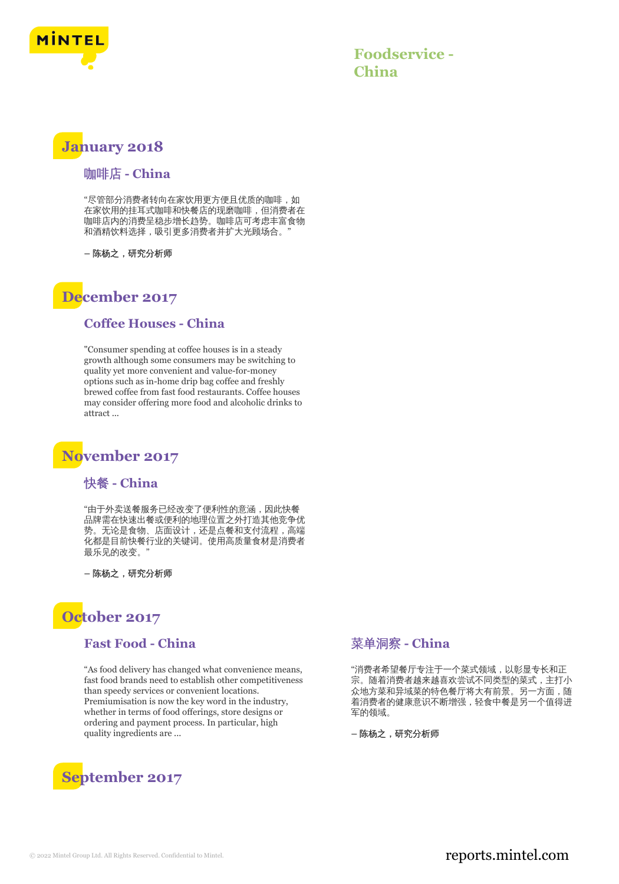

**Foodservice - China**

## **January 2018**

#### 咖啡店 **- China**

"尽管部分消费者转向在家饮用更方便且优质的咖啡,如 在家饮用的挂耳式咖啡和快餐店的现磨咖啡,但消费者在 咖啡店内的消费呈稳步增长趋势。咖啡店可考虑丰富食物 和酒精饮料选择,吸引更多消费者并扩大光顾场合。

**–** 陈杨之,研究分析师

## **December 2017**

#### **Coffee Houses - China**

"Consumer spending at coffee houses is in a steady growth although some consumers may be switching to quality yet more convenient and value-for-money options such as in-home drip bag coffee and freshly brewed coffee from fast food restaurants. Coffee houses may consider offering more food and alcoholic drinks to attract ...

## **November 2017**

#### 快餐 **- China**

"由于外卖送餐服务已经改变了便利性的意涵,因此快餐 品牌需在快速出餐或便利的地理位置之外打造其他竞争优 势。无论是食物、店面设计,还是点餐和支付流程,高端 化都是目前快餐行业的关键词。使用高质量食材是消费者 最乐见的改变。"

**–** 陈杨之,研究分析师

# **October 2017**

#### **Fast Food - China**

"As food delivery has changed what convenience means, fast food brands need to establish other competitiveness than speedy services or convenient locations. Premiumisation is now the key word in the industry, whether in terms of food offerings, store designs or ordering and payment process. In particular, high quality ingredients are ...



### 菜单洞察 **- China**

"消费者希望餐厅专注于一个菜式领域,以彰显专长和正 宗。随着消费者越来越喜欢尝试不同类型的菜式,主打小 众地方菜和异域菜的特色餐厅将大有前景。另一方面,随 着消费者的健康意识不断增强,轻食中餐是另一个值得进 军的领域。

**–** 陈杨之,研究分析师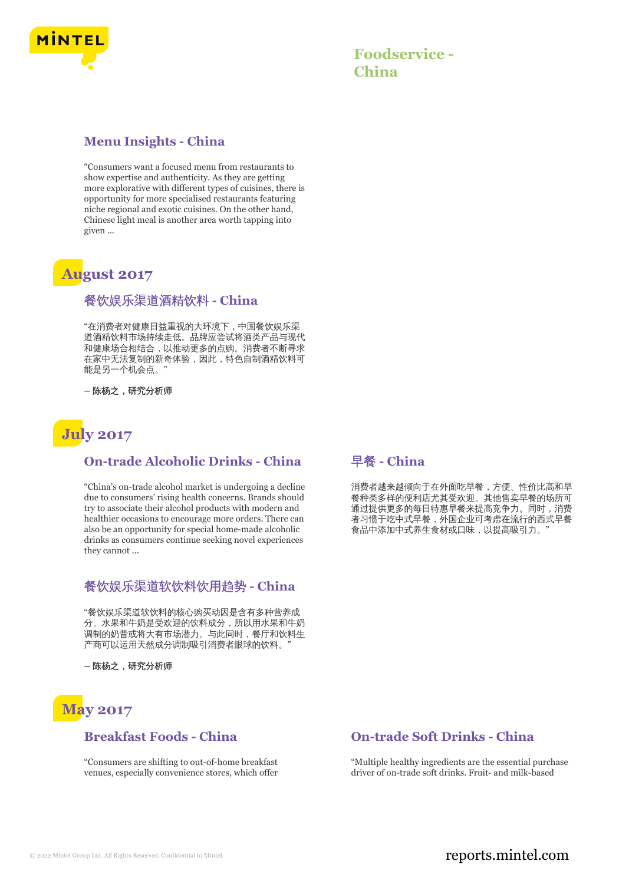

### **Menu Insights - China**

"Consumers want a focused menu from restaurants to show expertise and authenticity. As they are getting more explorative with different types of cuisines, there is opportunity for more specialised restaurants featuring niche regional and exotic cuisines. On the other hand, Chinese light meal is another area worth tapping into given ...

# **August 2017**

#### 餐饮娱乐渠道酒精饮料 **- China**

"在消费者对健康日益重视的大环境下,中国餐饮娱乐渠 道酒精饮料市场持续走低。品牌应尝试将酒类产品与现代 和健康场合相结合,以推动更多的点购。消费者不断寻求 在家中无法复制的新奇体验,因此,特色自制酒精饮料可 能是另一个机会点。"

**–** 陈杨之,研究分析师



#### **On-trade Alcoholic Drinks - China**

"China's on-trade alcohol market is undergoing a decline due to consumers' rising health concerns. Brands should try to associate their alcohol products with modern and healthier occasions to encourage more orders. There can also be an opportunity for special home-made alcoholic drinks as consumers continue seeking novel experiences they cannot ...

#### 餐饮娱乐渠道软饮料饮用趋势 **- China**

"餐饮娱乐渠道软饮料的核心购买动因是含有多种营养成 分。水果和牛奶是受欢迎的饮料成分,所以用水果和牛奶 调制的奶昔或将大有市场潜力。与此同时,餐厅和饮料生 产商可以运用天然成分调制吸引消费者眼球的饮料。

**–** 陈杨之,研究分析师

# **May 2017**

#### **Breakfast Foods - China**

"Consumers are shifting to out-of-home breakfast venues, especially convenience stores, which offer

### 早餐 **- China**

消费者越来越倾向于在外面吃早餐,方便、性价比高和早 餐种类多样的便利店尤其受欢迎。其他售卖早餐的场所可 通过提供更多的每日特惠早餐来提高竞争力。同时,消费 者习惯于吃中式早餐,外国企业可考虑在流行的西式早餐 食品中添加中式养生食材或口味,以提高吸引力。"

## **On-trade Soft Drinks - China**

"Multiple healthy ingredients are the essential purchase driver of on-trade soft drinks. Fruit- and milk-based

## © 2022 Mintel Group Ltd. All Rights Reserved. Confidential to Mintel.  $\blacksquare$  reports.mintel.com